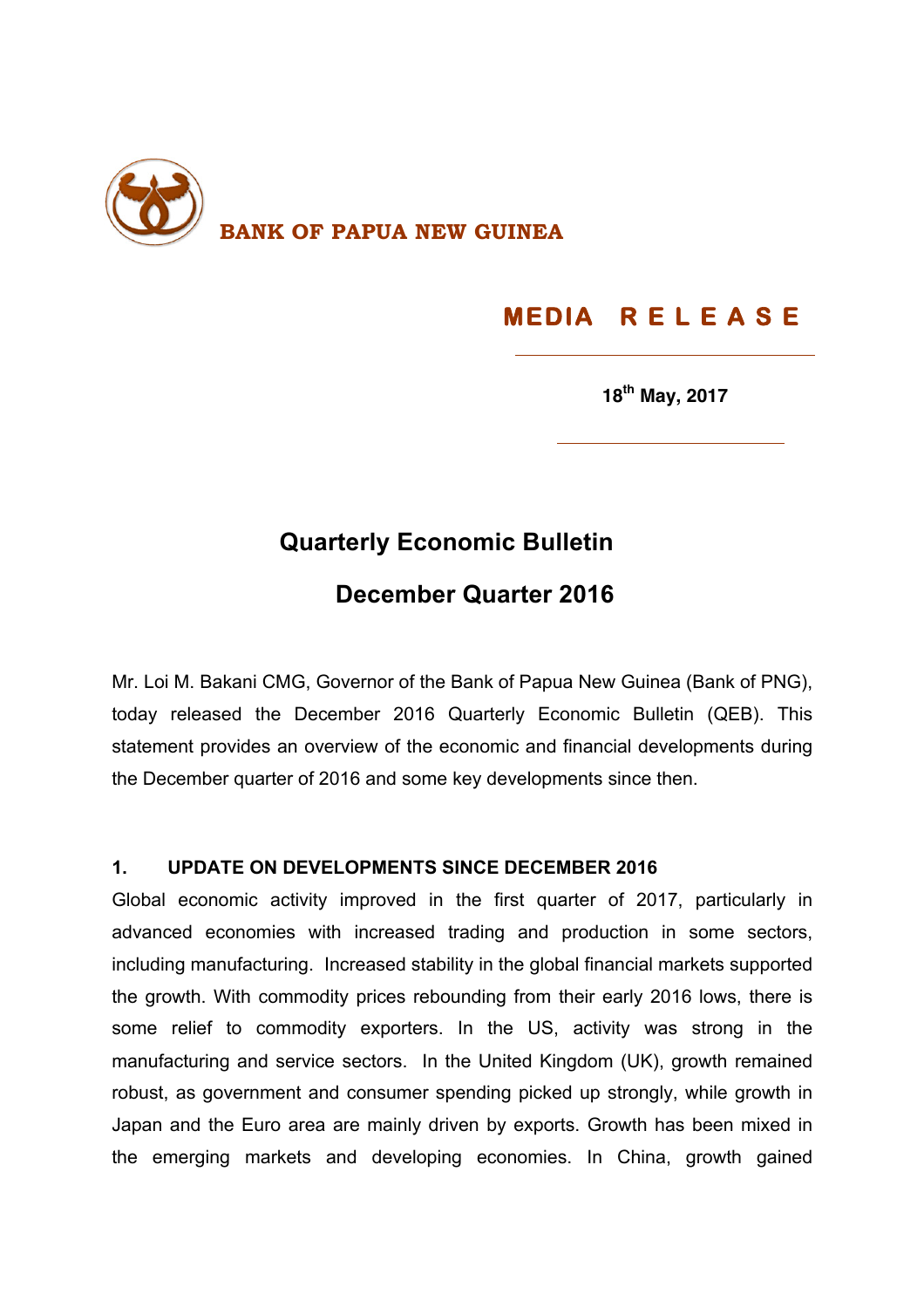

# **MEDIA R E L E A S E**

**18th May, 2017**

# **Quarterly Economic Bulletin**

## **December Quarter 2016**

Mr. Loi M. Bakani CMG, Governor of the Bank of Papua New Guinea (Bank of PNG), today released the December 2016 Quarterly Economic Bulletin (QEB). This statement provides an overview of the economic and financial developments during the December quarter of 2016 and some key developments since then.

#### **1. UPDATE ON DEVELOPMENTS SINCE DECEMBER 2016**

Global economic activity improved in the first quarter of 2017, particularly in advanced economies with increased trading and production in some sectors, including manufacturing. Increased stability in the global financial markets supported the growth. With commodity prices rebounding from their early 2016 lows, there is some relief to commodity exporters. In the US, activity was strong in the manufacturing and service sectors. In the United Kingdom (UK), growth remained robust, as government and consumer spending picked up strongly, while growth in Japan and the Euro area are mainly driven by exports. Growth has been mixed in the emerging markets and developing economies. In China, growth gained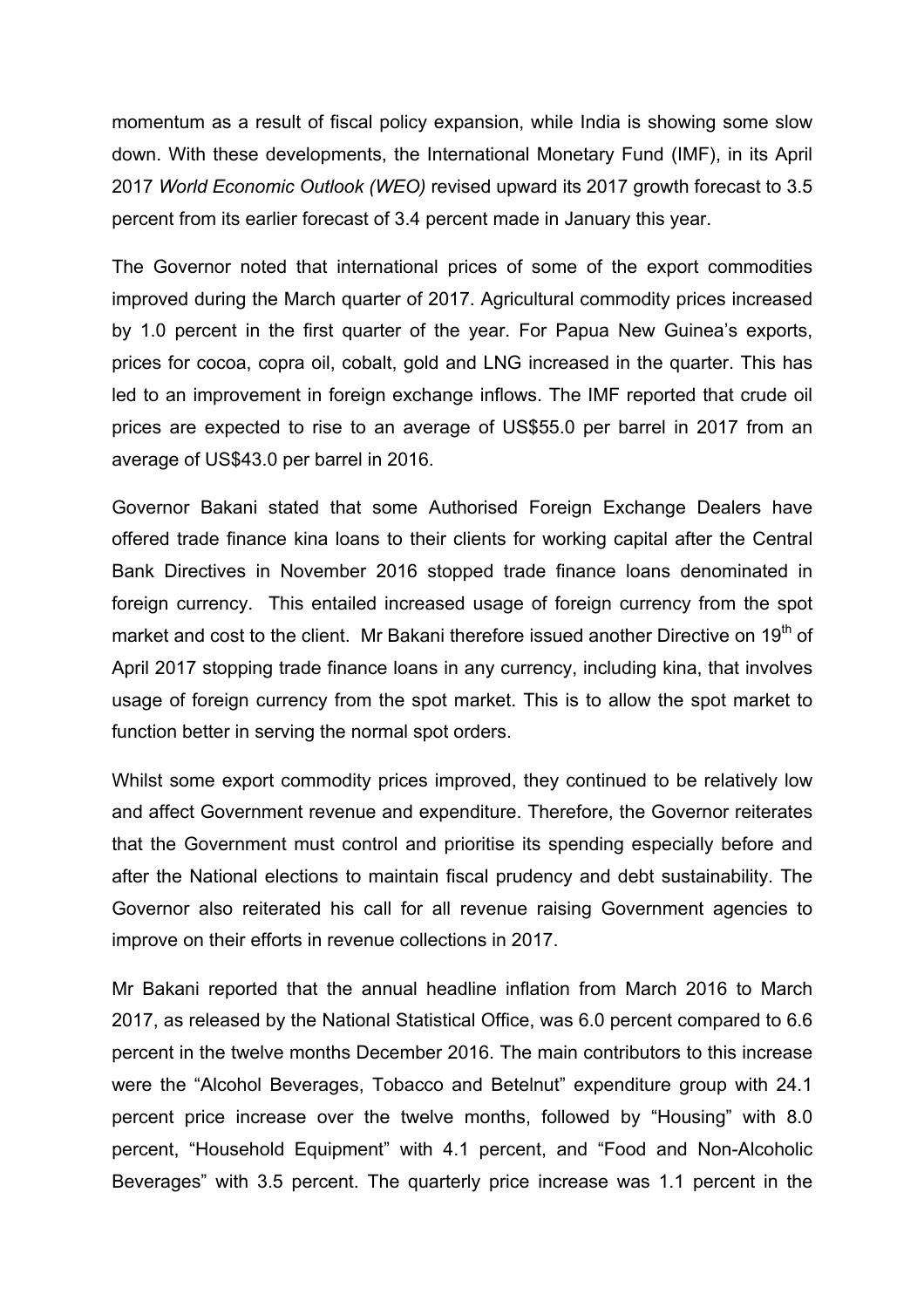momentum as a result of fiscal policy expansion, while India is showing some slow down. With these developments, the International Monetary Fund (IMF), in its April 2017 *World Economic Outlook (WEO)* revised upward its 2017 growth forecast to 3.5 percent from its earlier forecast of 3.4 percent made in January this year.

The Governor noted that international prices of some of the export commodities improved during the March quarter of 2017. Agricultural commodity prices increased by 1.0 percent in the first quarter of the year. For Papua New Guinea's exports, prices for cocoa, copra oil, cobalt, gold and LNG increased in the quarter. This has led to an improvement in foreign exchange inflows. The IMF reported that crude oil prices are expected to rise to an average of US\$55.0 per barrel in 2017 from an average of US\$43.0 per barrel in 2016.

Governor Bakani stated that some Authorised Foreign Exchange Dealers have offered trade finance kina loans to their clients for working capital after the Central Bank Directives in November 2016 stopped trade finance loans denominated in foreign currency. This entailed increased usage of foreign currency from the spot market and cost to the client. Mr Bakani therefore issued another Directive on 19<sup>th</sup> of April 2017 stopping trade finance loans in any currency, including kina, that involves usage of foreign currency from the spot market. This is to allow the spot market to function better in serving the normal spot orders.

Whilst some export commodity prices improved, they continued to be relatively low and affect Government revenue and expenditure. Therefore, the Governor reiterates that the Government must control and prioritise its spending especially before and after the National elections to maintain fiscal prudency and debt sustainability. The Governor also reiterated his call for all revenue raising Government agencies to improve on their efforts in revenue collections in 2017.

Mr Bakani reported that the annual headline inflation from March 2016 to March 2017, as released by the National Statistical Office, was 6.0 percent compared to 6.6 percent in the twelve months December 2016. The main contributors to this increase were the "Alcohol Beverages, Tobacco and Betelnut" expenditure group with 24.1 percent price increase over the twelve months, followed by "Housing" with 8.0 percent, "Household Equipment" with 4.1 percent, and "Food and Non-Alcoholic Beverages" with 3.5 percent. The quarterly price increase was 1.1 percent in the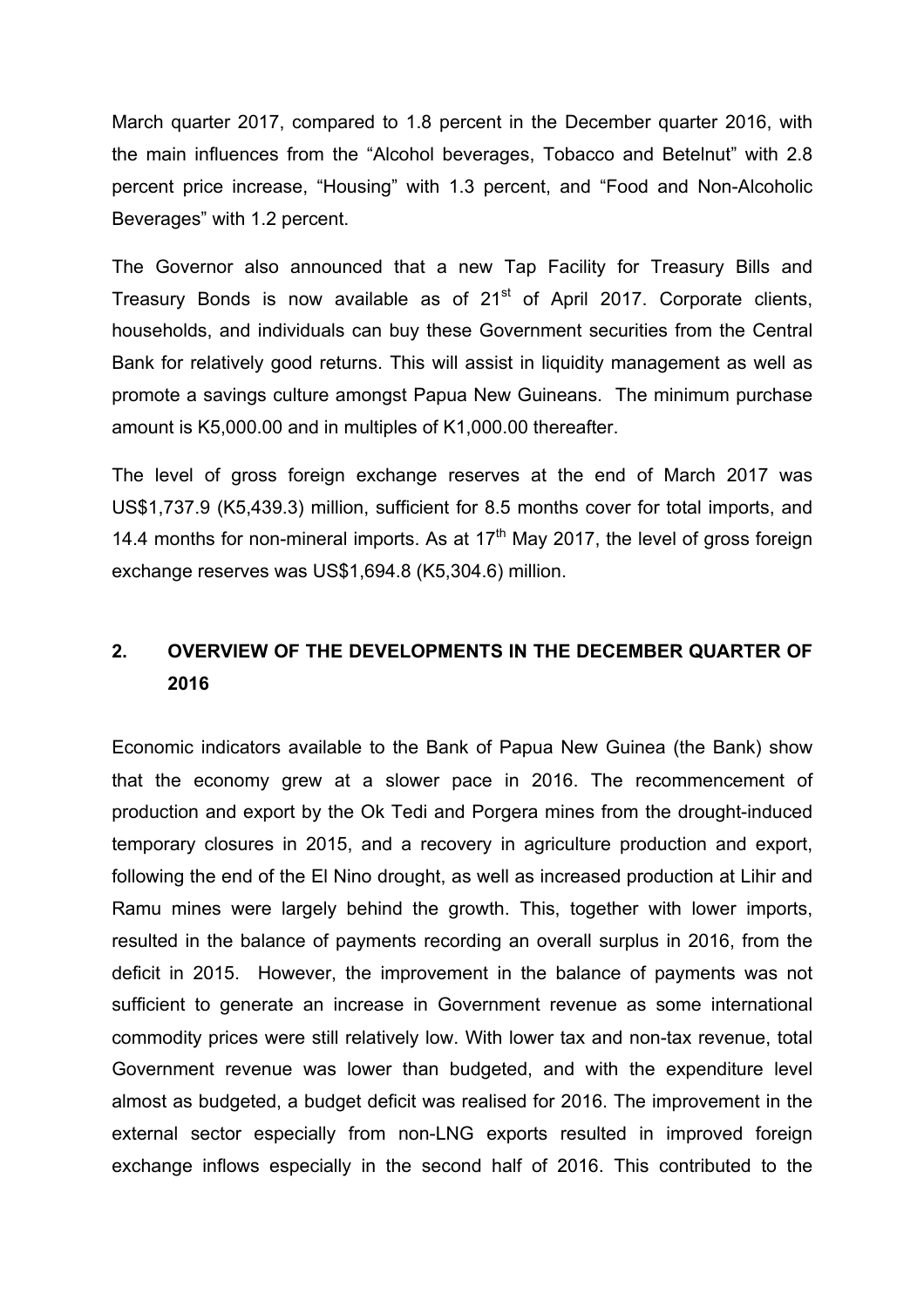March quarter 2017, compared to 1.8 percent in the December quarter 2016, with the main influences from the "Alcohol beverages, Tobacco and Betelnut" with 2.8 percent price increase, "Housing" with 1.3 percent, and "Food and Non-Alcoholic Beverages" with 1.2 percent.

The Governor also announced that a new Tap Facility for Treasury Bills and Treasury Bonds is now available as of  $21<sup>st</sup>$  of April 2017. Corporate clients, households, and individuals can buy these Government securities from the Central Bank for relatively good returns. This will assist in liquidity management as well as promote a savings culture amongst Papua New Guineans. The minimum purchase amount is K5,000.00 and in multiples of K1,000.00 thereafter.

The level of gross foreign exchange reserves at the end of March 2017 was US\$1,737.9 (K5,439.3) million, sufficient for 8.5 months cover for total imports, and 14.4 months for non-mineral imports. As at  $17<sup>th</sup>$  May 2017, the level of gross foreign exchange reserves was US\$1,694.8 (K5,304.6) million.

### **2. OVERVIEW OF THE DEVELOPMENTS IN THE DECEMBER QUARTER OF 2016**

Economic indicators available to the Bank of Papua New Guinea (the Bank) show that the economy grew at a slower pace in 2016. The recommencement of production and export by the Ok Tedi and Porgera mines from the drought-induced temporary closures in 2015, and a recovery in agriculture production and export, following the end of the El Nino drought, as well as increased production at Lihir and Ramu mines were largely behind the growth. This, together with lower imports, resulted in the balance of payments recording an overall surplus in 2016, from the deficit in 2015. However, the improvement in the balance of payments was not sufficient to generate an increase in Government revenue as some international commodity prices were still relatively low. With lower tax and non-tax revenue, total Government revenue was lower than budgeted, and with the expenditure level almost as budgeted, a budget deficit was realised for 2016. The improvement in the external sector especially from non-LNG exports resulted in improved foreign exchange inflows especially in the second half of 2016. This contributed to the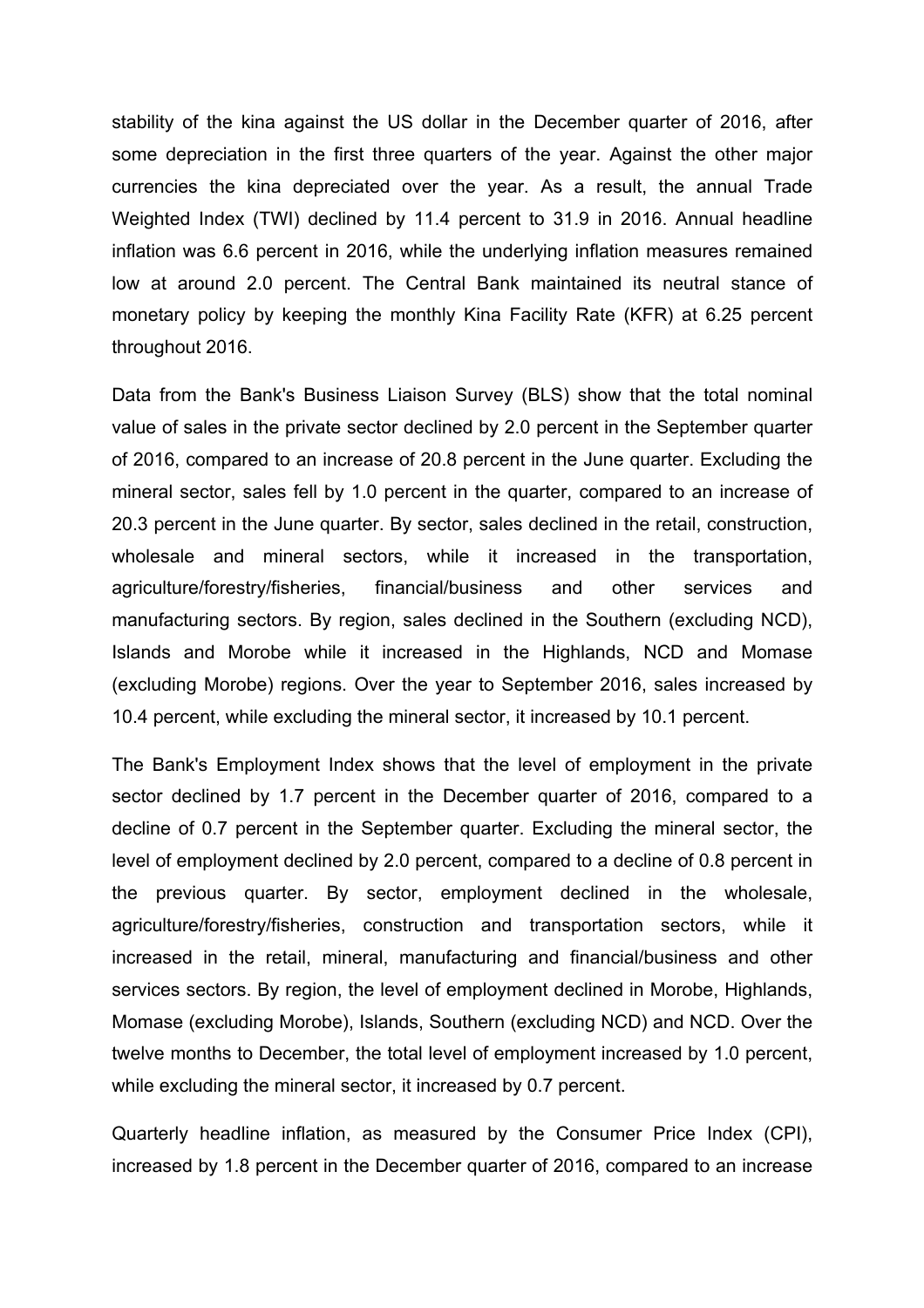stability of the kina against the US dollar in the December quarter of 2016, after some depreciation in the first three quarters of the year. Against the other major currencies the kina depreciated over the year. As a result, the annual Trade Weighted Index (TWI) declined by 11.4 percent to 31.9 in 2016. Annual headline inflation was 6.6 percent in 2016, while the underlying inflation measures remained low at around 2.0 percent. The Central Bank maintained its neutral stance of monetary policy by keeping the monthly Kina Facility Rate (KFR) at 6.25 percent throughout 2016.

Data from the Bank's Business Liaison Survey (BLS) show that the total nominal value of sales in the private sector declined by 2.0 percent in the September quarter of 2016, compared to an increase of 20.8 percent in the June quarter. Excluding the mineral sector, sales fell by 1.0 percent in the quarter, compared to an increase of 20.3 percent in the June quarter. By sector, sales declined in the retail, construction, wholesale and mineral sectors, while it increased in the transportation, agriculture/forestry/fisheries, financial/business and other services and manufacturing sectors. By region, sales declined in the Southern (excluding NCD), Islands and Morobe while it increased in the Highlands, NCD and Momase (excluding Morobe) regions. Over the year to September 2016, sales increased by 10.4 percent, while excluding the mineral sector, it increased by 10.1 percent.

The Bank's Employment Index shows that the level of employment in the private sector declined by 1.7 percent in the December quarter of 2016, compared to a decline of 0.7 percent in the September quarter. Excluding the mineral sector, the level of employment declined by 2.0 percent, compared to a decline of 0.8 percent in the previous quarter. By sector, employment declined in the wholesale, agriculture/forestry/fisheries, construction and transportation sectors, while it increased in the retail, mineral, manufacturing and financial/business and other services sectors. By region, the level of employment declined in Morobe, Highlands, Momase (excluding Morobe), Islands, Southern (excluding NCD) and NCD. Over the twelve months to December, the total level of employment increased by 1.0 percent, while excluding the mineral sector, it increased by 0.7 percent.

Quarterly headline inflation, as measured by the Consumer Price Index (CPI), increased by 1.8 percent in the December quarter of 2016, compared to an increase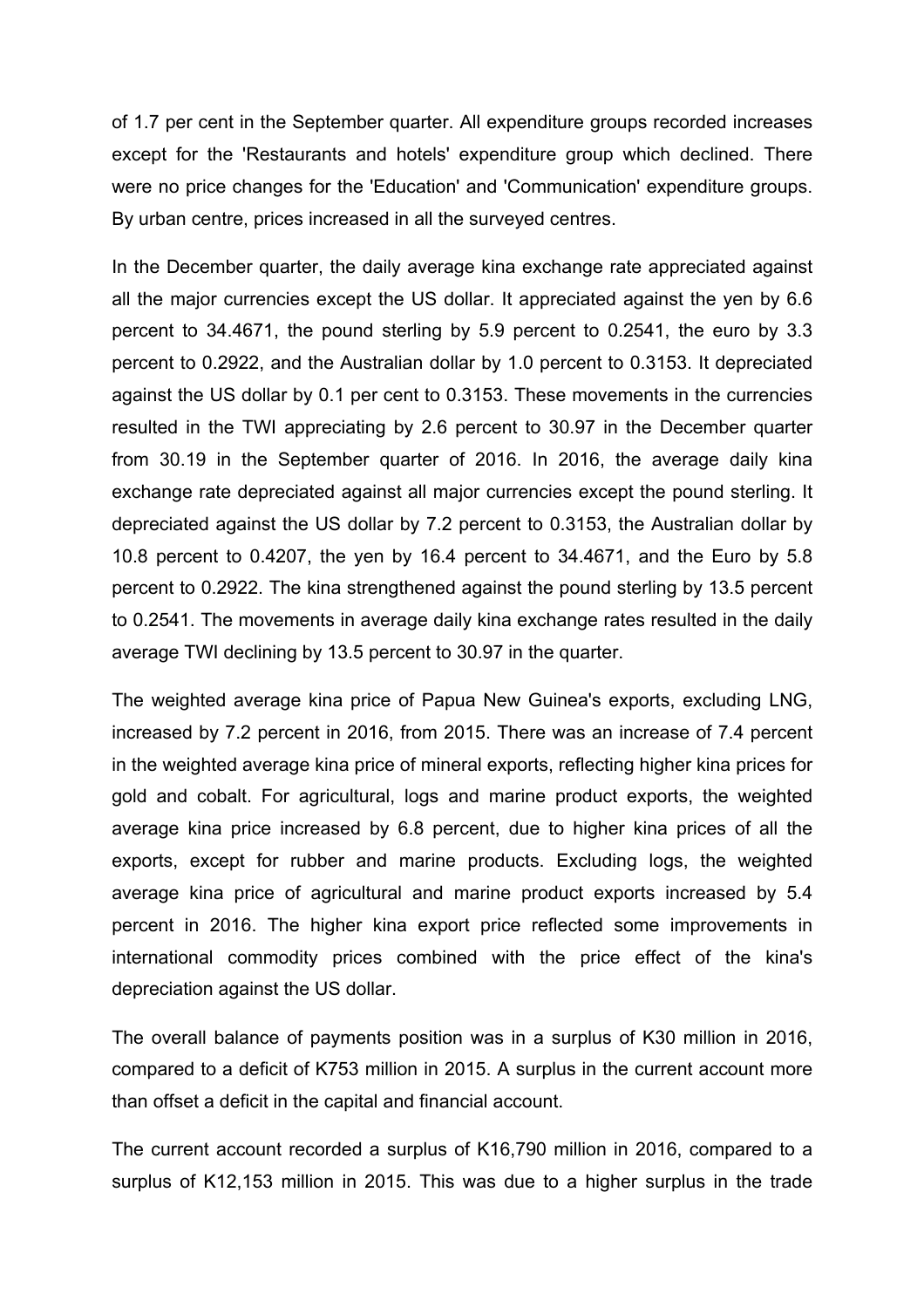of 1.7 per cent in the September quarter. All expenditure groups recorded increases except for the 'Restaurants and hotels' expenditure group which declined. There were no price changes for the 'Education' and 'Communication' expenditure groups. By urban centre, prices increased in all the surveyed centres.

In the December quarter, the daily average kina exchange rate appreciated against all the major currencies except the US dollar. It appreciated against the yen by 6.6 percent to 34.4671, the pound sterling by 5.9 percent to 0.2541, the euro by 3.3 percent to 0.2922, and the Australian dollar by 1.0 percent to 0.3153. It depreciated against the US dollar by 0.1 per cent to 0.3153. These movements in the currencies resulted in the TWI appreciating by 2.6 percent to 30.97 in the December quarter from 30.19 in the September quarter of 2016. In 2016, the average daily kina exchange rate depreciated against all major currencies except the pound sterling. It depreciated against the US dollar by 7.2 percent to 0.3153, the Australian dollar by 10.8 percent to 0.4207, the yen by 16.4 percent to 34.4671, and the Euro by 5.8 percent to 0.2922. The kina strengthened against the pound sterling by 13.5 percent to 0.2541. The movements in average daily kina exchange rates resulted in the daily average TWI declining by 13.5 percent to 30.97 in the quarter.

The weighted average kina price of Papua New Guinea's exports, excluding LNG, increased by 7.2 percent in 2016, from 2015. There was an increase of 7.4 percent in the weighted average kina price of mineral exports, reflecting higher kina prices for gold and cobalt. For agricultural, logs and marine product exports, the weighted average kina price increased by 6.8 percent, due to higher kina prices of all the exports, except for rubber and marine products. Excluding logs, the weighted average kina price of agricultural and marine product exports increased by 5.4 percent in 2016. The higher kina export price reflected some improvements in international commodity prices combined with the price effect of the kina's depreciation against the US dollar.

The overall balance of payments position was in a surplus of K30 million in 2016, compared to a deficit of K753 million in 2015. A surplus in the current account more than offset a deficit in the capital and financial account.

The current account recorded a surplus of K16,790 million in 2016, compared to a surplus of K12,153 million in 2015. This was due to a higher surplus in the trade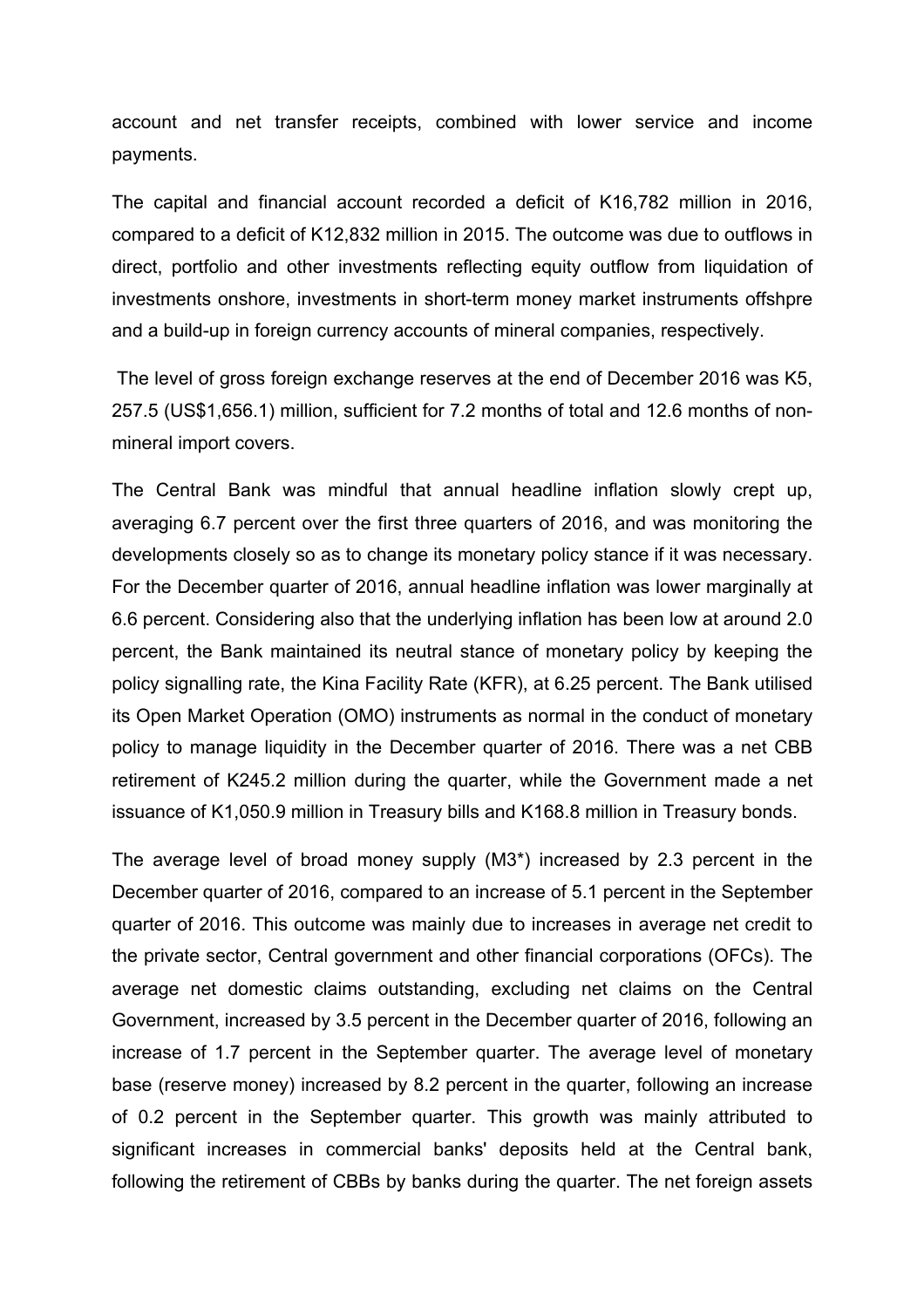account and net transfer receipts, combined with lower service and income payments.

The capital and financial account recorded a deficit of K16,782 million in 2016, compared to a deficit of K12,832 million in 2015. The outcome was due to outflows in direct, portfolio and other investments reflecting equity outflow from liquidation of investments onshore, investments in short-term money market instruments offshpre and a build-up in foreign currency accounts of mineral companies, respectively.

The level of gross foreign exchange reserves at the end of December 2016 was K5, 257.5 (US\$1,656.1) million, sufficient for 7.2 months of total and 12.6 months of nonmineral import covers.

The Central Bank was mindful that annual headline inflation slowly crept up, averaging 6.7 percent over the first three quarters of 2016, and was monitoring the developments closely so as to change its monetary policy stance if it was necessary. For the December quarter of 2016, annual headline inflation was lower marginally at 6.6 percent. Considering also that the underlying inflation has been low at around 2.0 percent, the Bank maintained its neutral stance of monetary policy by keeping the policy signalling rate, the Kina Facility Rate (KFR), at 6.25 percent. The Bank utilised its Open Market Operation (OMO) instruments as normal in the conduct of monetary policy to manage liquidity in the December quarter of 2016. There was a net CBB retirement of K245.2 million during the quarter, while the Government made a net issuance of K1,050.9 million in Treasury bills and K168.8 million in Treasury bonds.

The average level of broad money supply (M3\*) increased by 2.3 percent in the December quarter of 2016, compared to an increase of 5.1 percent in the September quarter of 2016. This outcome was mainly due to increases in average net credit to the private sector, Central government and other financial corporations (OFCs). The average net domestic claims outstanding, excluding net claims on the Central Government, increased by 3.5 percent in the December quarter of 2016, following an increase of 1.7 percent in the September quarter. The average level of monetary base (reserve money) increased by 8.2 percent in the quarter, following an increase of 0.2 percent in the September quarter. This growth was mainly attributed to significant increases in commercial banks' deposits held at the Central bank, following the retirement of CBBs by banks during the quarter. The net foreign assets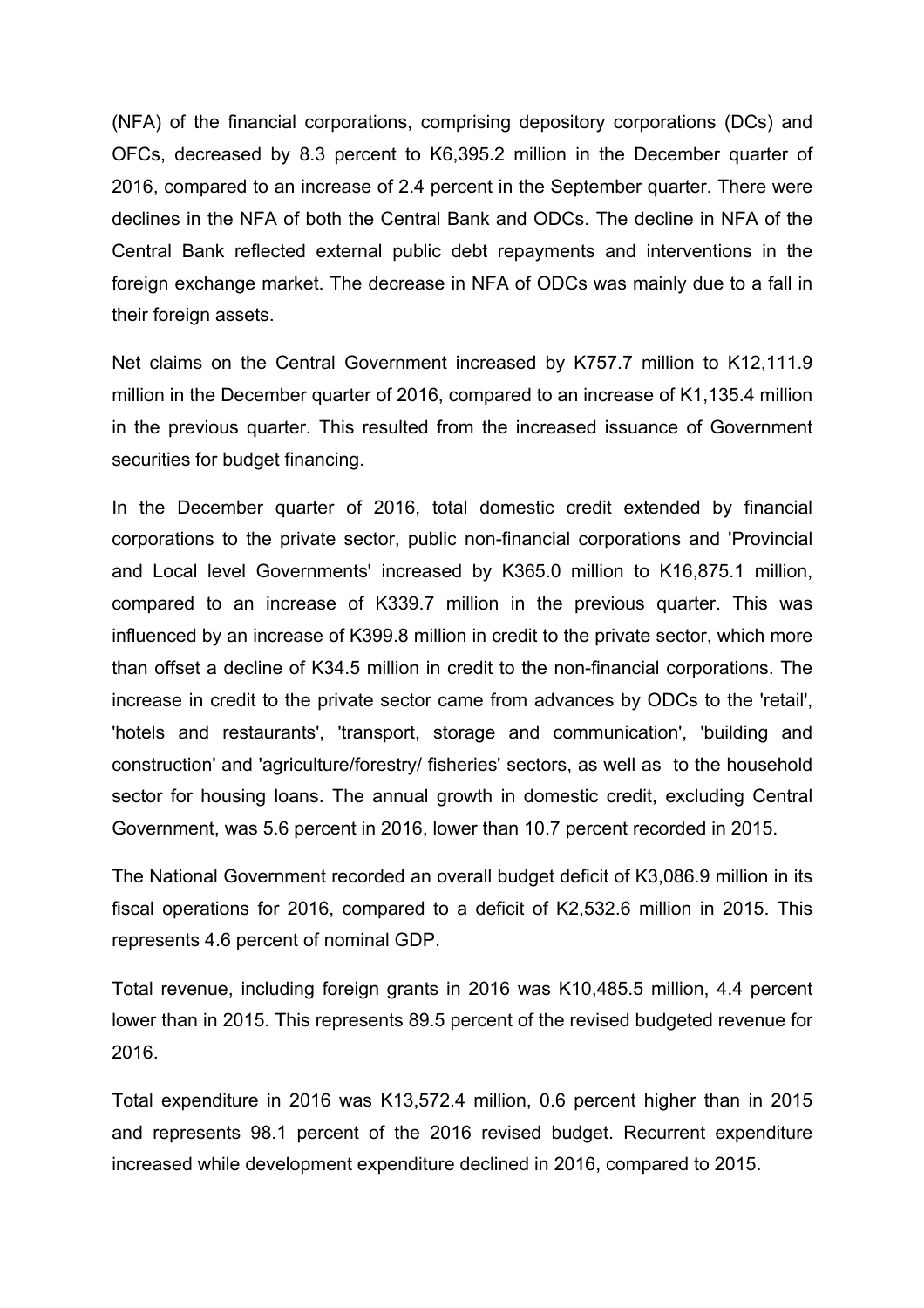(NFA) of the financial corporations, comprising depository corporations (DCs) and OFCs, decreased by 8.3 percent to K6,395.2 million in the December quarter of 2016, compared to an increase of 2.4 percent in the September quarter. There were declines in the NFA of both the Central Bank and ODCs. The decline in NFA of the Central Bank reflected external public debt repayments and interventions in the foreign exchange market. The decrease in NFA of ODCs was mainly due to a fall in their foreign assets.

Net claims on the Central Government increased by K757.7 million to K12,111.9 million in the December quarter of 2016, compared to an increase of K1,135.4 million in the previous quarter. This resulted from the increased issuance of Government securities for budget financing.

In the December quarter of 2016, total domestic credit extended by financial corporations to the private sector, public non-financial corporations and 'Provincial and Local level Governments' increased by K365.0 million to K16,875.1 million, compared to an increase of K339.7 million in the previous quarter. This was influenced by an increase of K399.8 million in credit to the private sector, which more than offset a decline of K34.5 million in credit to the non-financial corporations. The increase in credit to the private sector came from advances by ODCs to the 'retail', 'hotels and restaurants', 'transport, storage and communication', 'building and construction' and 'agriculture/forestry/ fisheries' sectors, as well as to the household sector for housing loans. The annual growth in domestic credit, excluding Central Government, was 5.6 percent in 2016, lower than 10.7 percent recorded in 2015.

The National Government recorded an overall budget deficit of K3,086.9 million in its fiscal operations for 2016, compared to a deficit of K2,532.6 million in 2015. This represents 4.6 percent of nominal GDP.

Total revenue, including foreign grants in 2016 was K10,485.5 million, 4.4 percent lower than in 2015. This represents 89.5 percent of the revised budgeted revenue for 2016.

Total expenditure in 2016 was K13,572.4 million, 0.6 percent higher than in 2015 and represents 98.1 percent of the 2016 revised budget. Recurrent expenditure increased while development expenditure declined in 2016, compared to 2015.